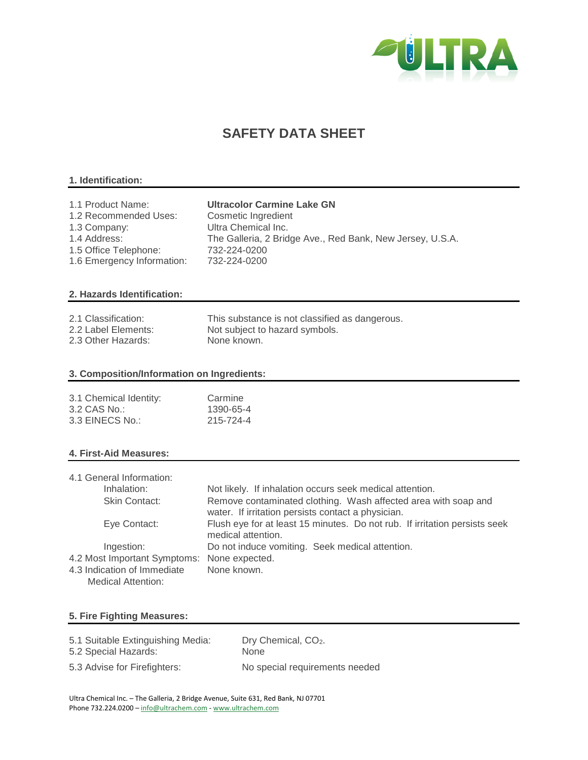

# **SAFETY DATA SHEET**

# **1. Identification:**

| 1.1 Product Name:          | <b>Ultracolor Carmine Lake GN</b>                         |
|----------------------------|-----------------------------------------------------------|
| 1.2 Recommended Uses:      | Cosmetic Ingredient                                       |
| 1.3 Company:               | Ultra Chemical Inc.                                       |
| 1.4 Address:               | The Galleria, 2 Bridge Ave., Red Bank, New Jersey, U.S.A. |
| 1.5 Office Telephone:      | 732-224-0200                                              |
| 1.6 Emergency Information: | 732-224-0200                                              |

# **2. Hazards Identification:**

| 2.1 Classification: | This substance is not classified as dangerous. |
|---------------------|------------------------------------------------|
| 2.2 Label Elements: | Not subject to hazard symbols.                 |
| 2.3 Other Hazards:  | None known.                                    |

# **3. Composition/Information on Ingredients:**

| 3.1 Chemical Identity: | Carmine   |
|------------------------|-----------|
| 3.2 CAS No.:           | 1390-65-4 |
| 3.3 EINECS No.:        | 215-724-4 |

# **4. First-Aid Measures:**

| 4.1 General Information:                    |                                                                                                                      |
|---------------------------------------------|----------------------------------------------------------------------------------------------------------------------|
| Inhalation:                                 | Not likely. If inhalation occurs seek medical attention.                                                             |
| Skin Contact:                               | Remove contaminated clothing. Wash affected area with soap and<br>water. If irritation persists contact a physician. |
| Eye Contact:                                | Flush eye for at least 15 minutes. Do not rub. If irritation persists seek<br>medical attention.                     |
| Ingestion:                                  | Do not induce vomiting. Seek medical attention.                                                                      |
| 4.2 Most Important Symptoms: None expected. |                                                                                                                      |
| 4.3 Indication of Immediate                 | None known.                                                                                                          |
| <b>Medical Attention:</b>                   |                                                                                                                      |

# **5. Fire Fighting Measures:**

| 5.1 Suitable Extinguishing Media: | Dry Chemical, CO <sub>2</sub> . |
|-----------------------------------|---------------------------------|
| 5.2 Special Hazards:              | <b>None</b>                     |
| 5.3 Advise for Firefighters:      | No special requirements needed  |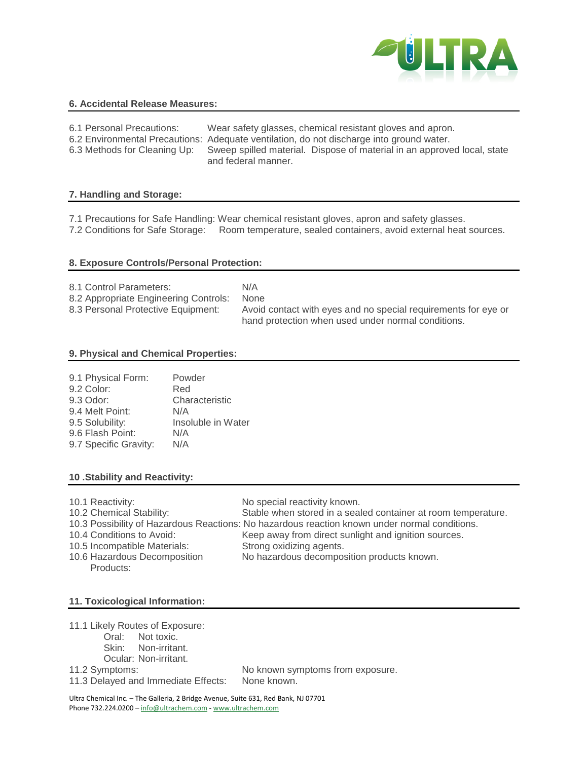

#### **6. Accidental Release Measures:**

| 6.1 Personal Precautions: | Wear safety glasses, chemical resistant gloves and apron.                                                                   |
|---------------------------|-----------------------------------------------------------------------------------------------------------------------------|
|                           | 6.2 Environmental Precautions: Adequate ventilation, do not discharge into ground water.                                    |
|                           | 6.3 Methods for Cleaning Up: Sweep spilled material. Dispose of material in an approved local, state<br>and federal manner. |

#### **7. Handling and Storage:**

7.1 Precautions for Safe Handling: Wear chemical resistant gloves, apron and safety glasses. 7.2 Conditions for Safe Storage: Room temperature, sealed containers, avoid external heat sources.

#### **8. Exposure Controls/Personal Protection:**

| 8.1 Control Parameters:               | N/A                                                            |
|---------------------------------------|----------------------------------------------------------------|
| 8.2 Appropriate Engineering Controls: | None                                                           |
| 8.3 Personal Protective Equipment:    | Avoid contact with eyes and no special requirements for eye or |
|                                       | hand protection when used under normal conditions.             |

#### **9. Physical and Chemical Properties:**

|                  | 9.1 Physical Form:    | Powder             |
|------------------|-----------------------|--------------------|
| 9.2 Color:       |                       | Red                |
| 9.3 Odor:        |                       | Characteristic     |
| 9.4 Melt Point:  |                       | N/A                |
| 9.5 Solubility:  |                       | Insoluble in Water |
| 9.6 Flash Point: |                       | N/A                |
|                  | 9.7 Specific Gravity: | N/A                |

# **10 .Stability and Reactivity:**

| 10.1 Reactivity:             | No special reactivity known.                                                                  |
|------------------------------|-----------------------------------------------------------------------------------------------|
| 10.2 Chemical Stability:     | Stable when stored in a sealed container at room temperature.                                 |
|                              | 10.3 Possibility of Hazardous Reactions: No hazardous reaction known under normal conditions. |
| 10.4 Conditions to Avoid:    | Keep away from direct sunlight and ignition sources.                                          |
| 10.5 Incompatible Materials: | Strong oxidizing agents.                                                                      |
| 10.6 Hazardous Decomposition | No hazardous decomposition products known.                                                    |
| Products:                    |                                                                                               |

# **11. Toxicological Information:**

11.1 Likely Routes of Exposure:

- Oral: Not toxic.
- Skin: Non-irritant.
- Ocular: Non-irritant.

11.2 Symptoms: No known symptoms from exposure.

11.3 Delayed and Immediate Effects: None known.

Ultra Chemical Inc. – The Galleria, 2 Bridge Avenue, Suite 631, Red Bank, NJ 07701 Phone 732.224.0200 – info@ultrachem.com - www.ultrachem.com